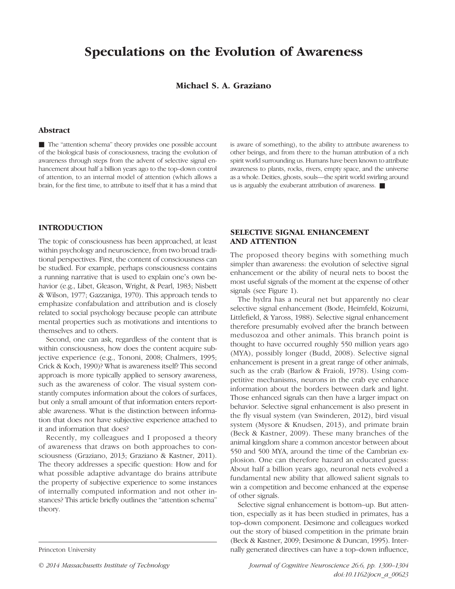## Speculations on the Evolution of Awareness

Michael S. A. Graziano

## Abstract

■ The "attention schema" theory provides one possible account of the biological basis of consciousness, tracing the evolution of awareness through steps from the advent of selective signal enhancement about half a billion years ago to the top–down control of attention, to an internal model of attention (which allows a brain, for the first time, to attribute to itself that it has a mind that is aware of something), to the ability to attribute awareness to other beings, and from there to the human attribution of a rich spirit world surrounding us. Humans have been known to attribute awareness to plants, rocks, rivers, empty space, and the universe as a whole. Deities, ghosts, souls—the spirit world swirling around us is arguably the exuberant attribution of awareness. ■

### INTRODUCTION

The topic of consciousness has been approached, at least within psychology and neuroscience, from two broad traditional perspectives. First, the content of consciousness can be studied. For example, perhaps consciousness contains a running narrative that is used to explain one's own behavior (e.g., Libet, Gleason, Wright, & Pearl, 1983; Nisbett & Wilson, 1977; Gazzaniga, 1970). This approach tends to emphasize confabulation and attribution and is closely related to social psychology because people can attribute mental properties such as motivations and intentions to themselves and to others.

Second, one can ask, regardless of the content that is within consciousness, how does the content acquire subjective experience (e.g., Tononi, 2008; Chalmers, 1995; Crick & Koch, 1990)? What is awareness itself? This second approach is more typically applied to sensory awareness, such as the awareness of color. The visual system constantly computes information about the colors of surfaces, but only a small amount of that information enters reportable awareness. What is the distinction between information that does not have subjective experience attached to it and information that does?

Recently, my colleagues and I proposed a theory of awareness that draws on both approaches to consciousness (Graziano, 2013; Graziano & Kastner, 2011). The theory addresses a specific question: How and for what possible adaptive advantage do brains attribute the property of subjective experience to some instances of internally computed information and not other instances? This article briefly outlines the "attention schema" theory.

#### **SELECTIVE SIGNAL ENHANCEMENT** AND ATTENTION AND ATTENTION

The proposed theory begins with something much simpler than awareness: the evolution of selective signal enhancement or the ability of neural nets to boost the most useful signals of the moment at the expense of other signals (see Figure 1).

The hydra has a neural net but apparently no clear selective signal enhancement (Bode, Heimfeld, Koizumi, Littlefield, & Yaross, 1988). Selective signal enhancement therefore presumably evolved after the branch between medusozoa and other animals. This branch point is thought to have occurred roughly 550 million years ago (MYA), possibly longer (Budd, 2008). Selective signal enhancement is present in a great range of other animals, such as the crab (Barlow & Fraioli, 1978). Using competitive mechanisms, neurons in the crab eye enhance information about the borders between dark and light. Those enhanced signals can then have a larger impact on behavior. Selective signal enhancement is also present in the fly visual system (van Swinderen, 2012), bird visual system (Mysore & Knudsen, 2013), and primate brain (Beck & Kastner, 2009). These many branches of the animal kingdom share a common ancestor between about 550 and 500 MYA, around the time of the Cambrian explosion. One can therefore hazard an educated guess: About half a billion years ago, neuronal nets evolved a fundamental new ability that allowed salient signals to win a competition and become enhanced at the expense of other signals.

Selective signal enhancement is bottom–up. But attention, especially as it has been studied in primates, has a top–down component. Desimone and colleagues worked out the story of biased competition in the primate brain (Beck & Kastner, 2009; Desimone & Duncan, 1995). Inter-Princeton University nally generated directives can have a top–down influence,

© 2014 Massachusetts Institute of Technology Journal of Cognitive Neuroscience 26:6, pp. 1300–1304 doi:10.1162/jocn\_a\_00623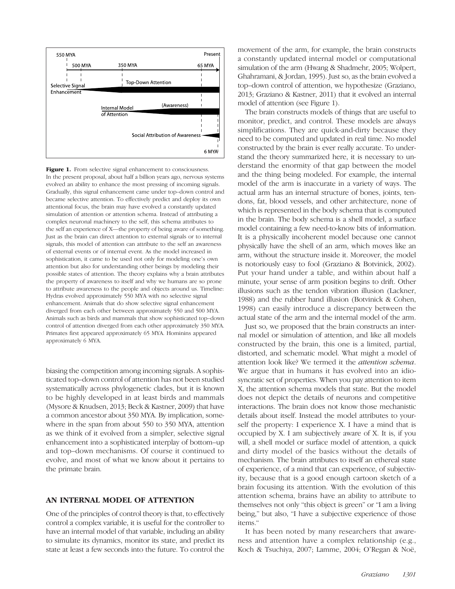

Figure 1. From selective signal enhancement to consciousness. In the present proposal, about half a billion years ago, nervous systems evolved an ability to enhance the most pressing of incoming signals. Gradually, this signal enhancement came under top–down control and became selective attention. To effectively predict and deploy its own attentional focus, the brain may have evolved a constantly updated simulation of attention or attention schema. Instead of attributing a complex neuronal machinery to the self, this schema attributes to the self an experience of X—the property of being aware of something. Just as the brain can direct attention to external signals or to internal signals, this model of attention can attribute to the self an awareness of external events or of internal event. As the model increased in sophistication, it came to be used not only for modeling one's own attention but also for understanding other beings by modeling their possible states of attention. The theory explains why a brain attributes the property of awareness to itself and why we humans are so prone to attribute awareness to the people and objects around us. Timeline: Hydras evolved approximately 550 MYA with no selective signal enhancement. Animals that do show selective signal enhancement diverged from each other between approximately 550 and 500 MYA. Animals such as birds and mammals that show sophisticated top–down control of attention diverged from each other approximately 350 MYA. Primates first appeared approximately 65 MYA. Hominins appeared approximately 6 MYA.

biasing the competition among incoming signals. A sophisticated top–down control of attention has not been studied systematically across phylogenetic clades, but it is known to be highly developed in at least birds and mammals (Mysore & Knudsen, 2013; Beck & Kastner, 2009) that have a common ancestor about 350 MYA. By implication, somewhere in the span from about 550 to 350 MYA, attention as we think of it evolved from a simpler, selective signal enhancement into a sophisticated interplay of bottom–up and top–down mechanisms. Of course it continued to evolve, and most of what we know about it pertains to the primate brain.

# AN INTERNAL MODEL OF ATTENTION

One of the principles of control theory is that, to effectively control a complex variable, it is useful for the controller to have an internal model of that variable, including an ability to simulate its dynamics, monitor its state, and predict its state at least a few seconds into the future. To control the

movement of the arm, for example, the brain constructs a constantly updated internal model or computational simulation of the arm (Hwang & Shadmehr, 2005; Wolpert, Ghahramani, & Jordan, 1995). Just so, as the brain evolved a top–down control of attention, we hypothesize (Graziano, 2013; Graziano & Kastner, 2011) that it evolved an internal model of attention (see Figure 1).

The brain constructs models of things that are useful to monitor, predict, and control. These models are always simplifications. They are quick-and-dirty because they need to be computed and updated in real time. No model constructed by the brain is ever really accurate. To understand the theory summarized here, it is necessary to understand the enormity of that gap between the model and the thing being modeled. For example, the internal model of the arm is inaccurate in a variety of ways. The actual arm has an internal structure of bones, joints, tendons, fat, blood vessels, and other architecture, none of which is represented in the body schema that is computed in the brain. The body schema is a shell model, a surface model containing a few need-to-know bits of information. It is a physically incoherent model because one cannot physically have the shell of an arm, which moves like an arm, without the structure inside it. Moreover, the model is notoriously easy to fool (Graziano & Botvinick, 2002). Put your hand under a table, and within about half a minute, your sense of arm position begins to drift. Other illusions such as the tendon vibration illusion (Lackner, 1988) and the rubber hand illusion (Botvinick & Cohen, 1998) can easily introduce a discrepancy between the actual state of the arm and the internal model of the arm.

Just so, we proposed that the brain constructs an internal model or simulation of attention, and like all models constructed by the brain, this one is a limited, partial, distorted, and schematic model. What might a model of attention look like? We termed it the attention schema. We argue that in humans it has evolved into an idiosyncratic set of properties. When you pay attention to item X, the attention schema models that state. But the model does not depict the details of neurons and competitive interactions. The brain does not know those mechanistic details about itself. Instead the model attributes to yourself the property: I experience X. I have a mind that is occupied by X. I am subjectively aware of X. It is, if you will, a shell model or surface model of attention, a quick and dirty model of the basics without the details of mechanism. The brain attributes to itself an ethereal state of experience, of a mind that can experience, of subjectivity, because that is a good enough cartoon sketch of a brain focusing its attention. With the evolution of this attention schema, brains have an ability to attribute to themselves not only "this object is green" or "I am a living being," but also, "I have a subjective experience of those items."

It has been noted by many researchers that awareness and attention have a complex relationship (e.g., Koch & Tsuchiya, 2007; Lamme, 2004; O'Regan & Noë,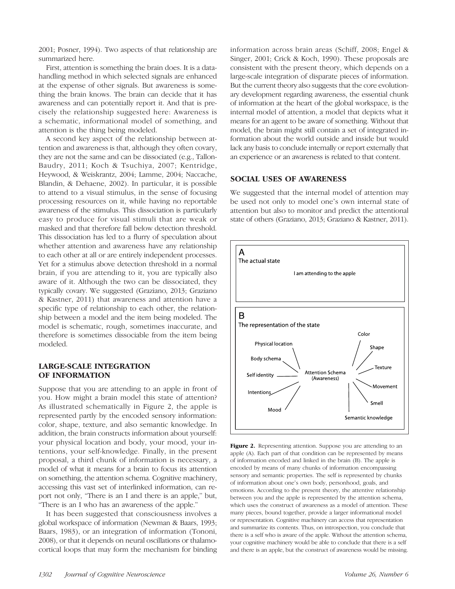2001; Posner, 1994). Two aspects of that relationship are summarized here.

First, attention is something the brain does. It is a datahandling method in which selected signals are enhanced at the expense of other signals. But awareness is something the brain knows. The brain can decide that it has awareness and can potentially report it. And that is precisely the relationship suggested here: Awareness is a schematic, informational model of something, and attention is the thing being modeled.

A second key aspect of the relationship between attention and awareness is that, although they often covary, they are not the same and can be dissociated (e.g., Tallon-Baudry, 2011; Koch & Tsuchiya, 2007; Kentridge, Heywood, & Weiskrantz, 2004; Lamme, 2004; Naccache, Blandin, & Dehaene, 2002). In particular, it is possible to attend to a visual stimulus, in the sense of focusing processing resources on it, while having no reportable awareness of the stimulus. This dissociation is particularly easy to produce for visual stimuli that are weak or masked and that therefore fall below detection threshold. This dissociation has led to a flurry of speculation about whether attention and awareness have any relationship to each other at all or are entirely independent processes. Yet for a stimulus above detection threshold in a normal brain, if you are attending to it, you are typically also aware of it. Although the two can be dissociated, they typically covary. We suggested (Graziano, 2013; Graziano & Kastner, 2011) that awareness and attention have a specific type of relationship to each other, the relationship between a model and the item being modeled. The model is schematic, rough, sometimes inaccurate, and therefore is sometimes dissociable from the item being modeled.

#### **LARGE-SCALE INTEGRATION** OF INFORMATION OF INFORMATION

Suppose that you are attending to an apple in front of you. How might a brain model this state of attention? As illustrated schematically in Figure 2, the apple is represented partly by the encoded sensory information: color, shape, texture, and also semantic knowledge. In addition, the brain constructs information about yourself: your physical location and body, your mood, your intentions, your self-knowledge. Finally, in the present proposal, a third chunk of information is necessary, a model of what it means for a brain to focus its attention on something, the attention schema. Cognitive machinery, accessing this vast set of interlinked information, can report not only, "There is an I and there is an apple," but, "There is an I who has an awareness of the apple."

It has been suggested that consciousness involves a global workspace of information (Newman & Baars, 1993; Baars, 1983), or an integration of information (Tononi, 2008), or that it depends on neural oscillations or thalamocortical loops that may form the mechanism for binding

information across brain areas (Schiff, 2008; Engel & Singer, 2001; Crick & Koch, 1990). These proposals are consistent with the present theory, which depends on a large-scale integration of disparate pieces of information. But the current theory also suggests that the core evolutionary development regarding awareness, the essential chunk of information at the heart of the global workspace, is the internal model of attention, a model that depicts what it means for an agent to be aware of something. Without that model, the brain might still contain a set of integrated information about the world outside and inside but would lack any basis to conclude internally or report externally that an experience or an awareness is related to that content.

# SOCIAL USES OF AWARENESS

We suggested that the internal model of attention may be used not only to model one's own internal state of attention but also to monitor and predict the attentional state of others (Graziano, 2013; Graziano & Kastner, 2011).



Figure 2. Representing attention. Suppose you are attending to an apple (A). Each part of that condition can be represented by means of information encoded and linked in the brain (B). The apple is encoded by means of many chunks of information encompassing sensory and semantic properties. The self is represented by chunks of information about one's own body, personhood, goals, and emotions. According to the present theory, the attentive relationship between you and the apple is represented by the attention schema, which uses the construct of awareness as a model of attention. These many pieces, bound together, provide a larger informational model or representation. Cognitive machinery can access that representation and summarize its contents. Thus, on introspection, you conclude that there is a self who is aware of the apple. Without the attention schema, your cognitive machinery would be able to conclude that there is a self and there is an apple, but the construct of awareness would be missing.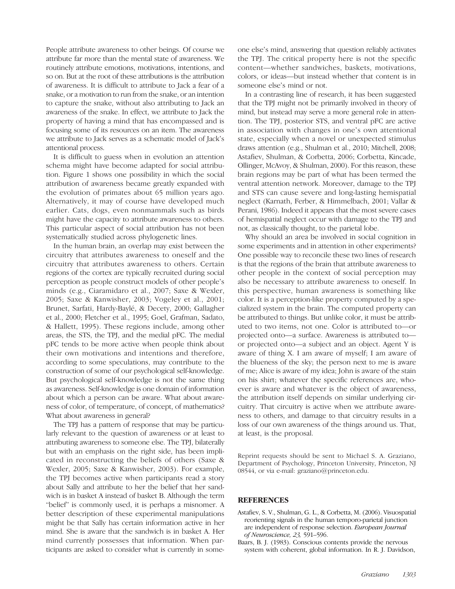People attribute awareness to other beings. Of course we attribute far more than the mental state of awareness. We routinely attribute emotions, motivations, intentions, and so on. But at the root of these attributions is the attribution of awareness. It is difficult to attribute to Jack a fear of a snake, or a motivation to run from the snake, or an intention to capture the snake, without also attributing to Jack an awareness of the snake. In effect, we attribute to Jack the property of having a mind that has encompassed and is focusing some of its resources on an item. The awareness we attribute to Jack serves as a schematic model of Jack's attentional process.

It is difficult to guess when in evolution an attention schema might have become adapted for social attribution. Figure 1 shows one possibility in which the social attribution of awareness became greatly expanded with the evolution of primates about 65 million years ago. Alternatively, it may of course have developed much earlier. Cats, dogs, even nonmammals such as birds might have the capacity to attribute awareness to others. This particular aspect of social attribution has not been systematically studied across phylogenetic lines.

In the human brain, an overlap may exist between the circuitry that attributes awareness to oneself and the circuitry that attributes awareness to others. Certain regions of the cortex are typically recruited during social perception as people construct models of other people's minds (e.g., Ciaramidaro et al., 2007; Saxe & Wexler, 2005; Saxe & Kanwisher, 2003; Vogeley et al., 2001; Brunet, Sarfati, Hardy-Baylé, & Decety, 2000; Gallagher et al., 2000; Fletcher et al., 1995; Goel, Grafman, Sadato, & Hallett, 1995). These regions include, among other areas, the STS, the TPJ, and the medial pFC. The medial pFC tends to be more active when people think about their own motivations and intentions and therefore, according to some speculations, may contribute to the construction of some of our psychological self-knowledge. But psychological self-knowledge is not the same thing as awareness. Self-knowledge is one domain of information about which a person can be aware. What about awareness of color, of temperature, of concept, of mathematics? What about awareness in general?

The TPJ has a pattern of response that may be particularly relevant to the question of awareness or at least to attributing awareness to someone else. The TPJ, bilaterally but with an emphasis on the right side, has been implicated in reconstructing the beliefs of others (Saxe & Wexler, 2005; Saxe & Kanwisher, 2003). For example, the TPJ becomes active when participants read a story about Sally and attribute to her the belief that her sandwich is in basket A instead of basket B. Although the term "belief" is commonly used, it is perhaps a misnomer. A better description of these experimental manipulations might be that Sally has certain information active in her mind. She is aware that the sandwich is in basket A. Her mind currently possesses that information. When participants are asked to consider what is currently in some-

one else's mind, answering that question reliably activates the TPJ. The critical property here is not the specific content—whether sandwiches, baskets, motivations, colors, or ideas—but instead whether that content is in someone else's mind or not.

In a contrasting line of research, it has been suggested that the TPJ might not be primarily involved in theory of mind, but instead may serve a more general role in attention. The TPJ, posterior STS, and ventral pFC are active in association with changes in one's own attentional state, especially when a novel or unexpected stimulus draws attention (e.g., Shulman et al., 2010; Mitchell, 2008; Astafiev, Shulman, & Corbetta, 2006; Corbetta, Kincade, Ollinger, McAvoy, & Shulman, 2000). For this reason, these brain regions may be part of what has been termed the ventral attention network. Moreover, damage to the TPJ and STS can cause severe and long-lasting hemispatial neglect (Karnath, Ferber, & Himmelbach, 2001; Vallar & Perani, 1986). Indeed it appears that the most severe cases of hemispatial neglect occur with damage to the TPJ and not, as classically thought, to the parietal lobe.

Why should an area be involved in social cognition in some experiments and in attention in other experiments? One possible way to reconcile these two lines of research is that the regions of the brain that attribute awareness to other people in the context of social perception may also be necessary to attribute awareness to oneself. In this perspective, human awareness is something like color. It is a perception-like property computed by a specialized system in the brain. The computed property can be attributed to things. But unlike color, it must be attributed to two items, not one. Color is attributed to—or projected onto—a surface. Awareness is attributed to or projected onto—a subject and an object. Agent Y is aware of thing X. I am aware of myself; I am aware of the blueness of the sky; the person next to me is aware of me; Alice is aware of my idea; John is aware of the stain on his shirt; whatever the specific references are, whoever is aware and whatever is the object of awareness, the attribution itself depends on similar underlying circuitry. That circuitry is active when we attribute awareness to others, and damage to that circuitry results in a loss of our own awareness of the things around us. That, at least, is the proposal.

Reprint requests should be sent to Michael S. A. Graziano, Department of Psychology, Princeton University, Princeton, NJ 08544, or via e-mail: graziano@princeton.edu.

- REFERENCES Astafiev, S. V., Shulman, G. L., & Corbetta, M. (2006). Visuospatial reorienting signals in the human temporo-parietal junction are independent of response selection. European Journal of Neuroscience, 23, 591–596.
- Baars, B. J. (1983). Conscious contents provide the nervous system with coherent, global information. In R. J. Davidson,